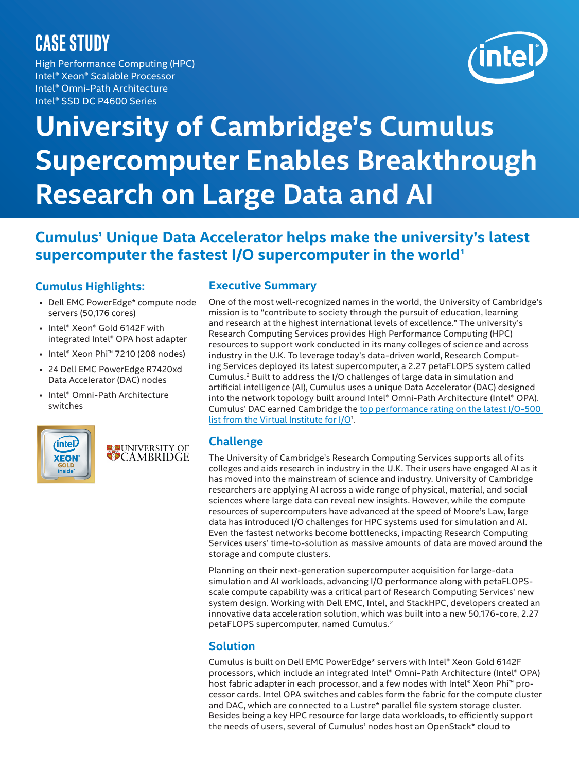# **CASE STUDY**

High Performance Computing (HPC) Intel® Xeon® Scalable Processor Intel® Omni-Path Architecture Intel® SSD DC P4600 Series



# **University of Cambridge's Cumulus Supercomputer Enables Breakthrough Research on Large Data and AI**

# **Cumulus' Unique Data Accelerator helps make the university's latest**  supercomputer the fastest I/O supercomputer in the world<sup>1</sup>

## **Cumulus Highlights:**

- Dell EMC PowerEdge\* compute node servers (50,176 cores)
- Intel® Xeon® Gold 6142F with integrated Intel® OPA host adapter
- Intel® Xeon Phi™ 7210 (208 nodes)
- 24 Dell EMC PowerEdge R7420xd Data Accelerator (DAC) nodes
- Intel® Omni-Path Architecture switches



**ELE UNIVERSITY OF** 

#### **Executive Summary**

One of the most well-recognized names in the world, the University of Cambridge's mission is to "contribute to society through the pursuit of education, learning and research at the highest international levels of excellence." The university's Research Computing Services provides High Performance Computing (HPC) resources to support work conducted in its many colleges of science and across industry in the U.K. To leverage today's data-driven world, Research Computing Services deployed its latest supercomputer, a 2.27 petaFLOPS system called Cumulus.2 Built to address the I/O challenges of large data in simulation and artificial intelligence (AI), Cumulus uses a unique Data Accelerator (DAC) designed into the network topology built around Intel® Omni-Path Architecture (Intel® OPA). Cumulus' DAC earned Cambridge the [top performance rating on the latest I/O-500](https://www.vi4io.org/io500/start?fields=information__system,information__institution,information__storage_vendor,information__filesystem_type,information__client_nodes,information__client_total_procs,io500__score,io500__bw,io500__md,information__data&equation=&sort_asc=false&sort_by=io500__score&radarmax=6&query=)  [list from the Virtual Institute for I/O1.](https://www.vi4io.org/io500/start?fields=information__system,information__institution,information__storage_vendor,information__filesystem_type,information__client_nodes,information__client_total_procs,io500__score,io500__bw,io500__md,information__data&equation=&sort_asc=false&sort_by=io500__score&radarmax=6&query=)

### **Challenge**

The University of Cambridge's Research Computing Services supports all of its colleges and aids research in industry in the U.K. Their users have engaged AI as it has moved into the mainstream of science and industry. University of Cambridge researchers are applying AI across a wide range of physical, material, and social sciences where large data can reveal new insights. However, while the compute resources of supercomputers have advanced at the speed of Moore's Law, large data has introduced I/O challenges for HPC systems used for simulation and AI. Even the fastest networks become bottlenecks, impacting Research Computing Services users' time-to-solution as massive amounts of data are moved around the storage and compute clusters.

Planning on their next-generation supercomputer acquisition for large-data simulation and AI workloads, advancing I/O performance along with petaFLOPSscale compute capability was a critical part of Research Computing Services' new system design. Working with Dell EMC, Intel, and StackHPC, developers created an innovative data acceleration solution, which was built into a new 50,176-core, 2.27 petaFLOPS supercomputer, named Cumulus.2

### **Solution**

Cumulus is built on Dell EMC PowerEdge\* servers with Intel® Xeon Gold 6142F processors, which include an integrated Intel® Omni-Path Architecture (Intel® OPA) host fabric adapter in each processor, and a few nodes with Intel® Xeon Phi™ processor cards. Intel OPA switches and cables form the fabric for the compute cluster and DAC, which are connected to a Lustre\* parallel file system storage cluster. Besides being a key HPC resource for large data workloads, to efficiently support the needs of users, several of Cumulus' nodes host an OpenStack\* cloud to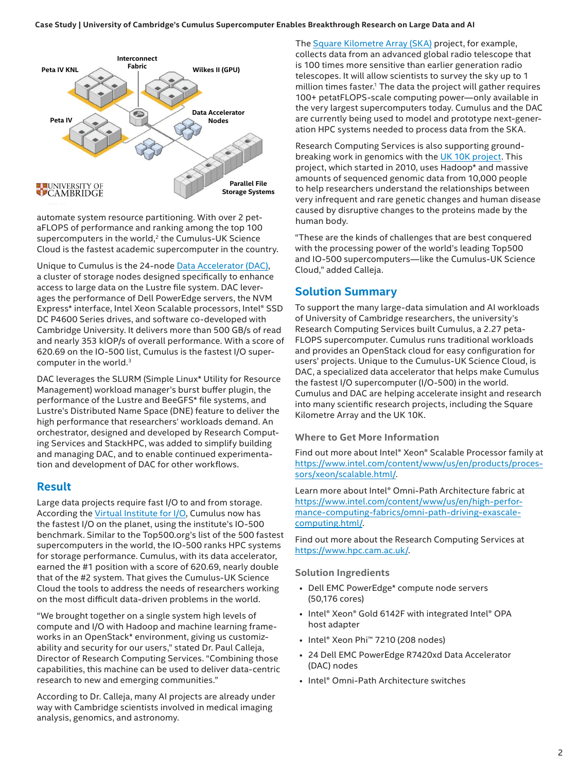#### **Case Study | University of Cambridge's Cumulus Supercomputer Enables Breakthrough Research on Large Data and AI**



automate system resource partitioning. With over 2 petaFLOPS of performance and ranking among the top 100 supercomputers in the world, $2$  the Cumulus-UK Science Cloud is the fastest academic supercomputer in the country.

Unique to Cumulus is the 24-node [Data Accelerator \(DAC\)](https://www.hpc.cam.ac.uk/research/data-acc), a cluster of storage nodes designed specifically to enhance access to large data on the Lustre file system. DAC leverages the performance of Dell PowerEdge servers, the NVM Express\* interface, Intel Xeon Scalable processors, Intel® SSD DC P4600 Series drives, and software co-developed with Cambridge University. It delivers more than 500 GB/s of read and nearly 353 kIOP/s of overall performance. With a score of 620.69 on the IO-500 list, Cumulus is the fastest I/O supercomputer in the world.<sup>3</sup>

DAC leverages the SLURM (Simple Linux\* Utility for Resource Management) workload manager's burst buffer plugin, the performance of the Lustre and BeeGFS\* file systems, and Lustre's Distributed Name Space (DNE) feature to deliver the high performance that researchers' workloads demand. An orchestrator, designed and developed by Research Computing Services and StackHPC, was added to simplify building and managing DAC, and to enable continued experimentation and development of DAC for other workflows.

#### **Result**

Large data projects require fast I/O to and from storage. According the [Virtual Institute for I/O,](https://www.vi4io.org/start) Cumulus now has the fastest I/O on the planet, using the institute's IO-500 benchmark. Similar to the Top500.org's list of the 500 fastest supercomputers in the world, the IO-500 ranks HPC systems for storage performance. Cumulus, with its data accelerator, earned the #1 position with a score of 620.69, nearly double that of the #2 system. That gives the Cumulus-UK Science Cloud the tools to address the needs of researchers working on the most difficult data-driven problems in the world.

"We brought together on a single system high levels of compute and I/O with Hadoop and machine learning frameworks in an OpenStack\* environment, giving us customizability and security for our users," stated Dr. Paul Calleja, Director of Research Computing Services. "Combining those capabilities, this machine can be used to deliver data-centric research to new and emerging communities."

According to Dr. Calleja, many AI projects are already under way with Cambridge scientists involved in medical imaging analysis, genomics, and astronomy.

The [Square Kilometre Array \(SKA\)](https://www.skatelescope.org/software-and-computing/) project, for example, collects data from an advanced global radio telescope that is 100 times more sensitive than earlier generation radio telescopes. It will allow scientists to survey the sky up to 1 million times faster.<sup>1</sup> The data the project will gather requires 100+ petatFLOPS-scale computing power—only available in the very largest supercomputers today. Cumulus and the DAC are currently being used to model and prototype next-generation HPC systems needed to process data from the SKA.

Research Computing Services is also supporting groundbreaking work in genomics with the [UK 10K project](https://www.uk10k.org/). This project, which started in 2010, uses Hadoop\* and massive amounts of sequenced genomic data from 10,000 people to help researchers understand the relationships between very infrequent and rare genetic changes and human disease caused by disruptive changes to the proteins made by the human body.

"These are the kinds of challenges that are best conquered with the processing power of the world's leading Top500 and IO-500 supercomputers—like the Cumulus-UK Science Cloud," added Calleja.

#### **Solution Summary**

To support the many large-data simulation and AI workloads of University of Cambridge researchers, the university's Research Computing Services built Cumulus, a 2.27 peta-FLOPS supercomputer. Cumulus runs traditional workloads and provides an OpenStack cloud for easy configuration for users' projects. Unique to the Cumulus-UK Science Cloud, is DAC, a specialized data accelerator that helps make Cumulus the fastest I/O supercomputer (I/O-500) in the world. Cumulus and DAC are helping accelerate insight and research into many scientific research projects, including the Square Kilometre Array and the UK 10K.

#### **Where to Get More Information**

Find out more about Intel® Xeon® Scalable Processor family at [https://www.intel.com/content/www/us/en/products/proces](https://www.intel.com/content/www/us/en/products/processors/xeon/scalable.html)[sors/xeon/scalable.html/](https://www.intel.com/content/www/us/en/products/processors/xeon/scalable.html).

Learn more about Intel® Omni-Path Architecture fabric at [https://www.intel.com/content/www/us/en/high-perfor](https://www.intel.com/content/www/us/en/high-performance-computing-fabrics/omni-path-driving-exascale-computing.html)[mance-computing-fabrics/omni-path-driving-exascale](https://www.intel.com/content/www/us/en/high-performance-computing-fabrics/omni-path-driving-exascale-computing.html)[computing.html/](https://www.intel.com/content/www/us/en/high-performance-computing-fabrics/omni-path-driving-exascale-computing.html).

Find out more about the Research Computing Services at [https://www.hpc.cam.ac.uk/](https://www.hpc.cam.ac.uk).

**Solution Ingredients**

- Dell EMC PowerEdge\* compute node servers (50,176 cores)
- Intel® Xeon® Gold 6142F with integrated Intel® OPA host adapter
- Intel® Xeon Phi™ 7210 (208 nodes)
- 24 Dell EMC PowerEdge R7420xd Data Accelerator (DAC) nodes
- Intel® Omni-Path Architecture switches